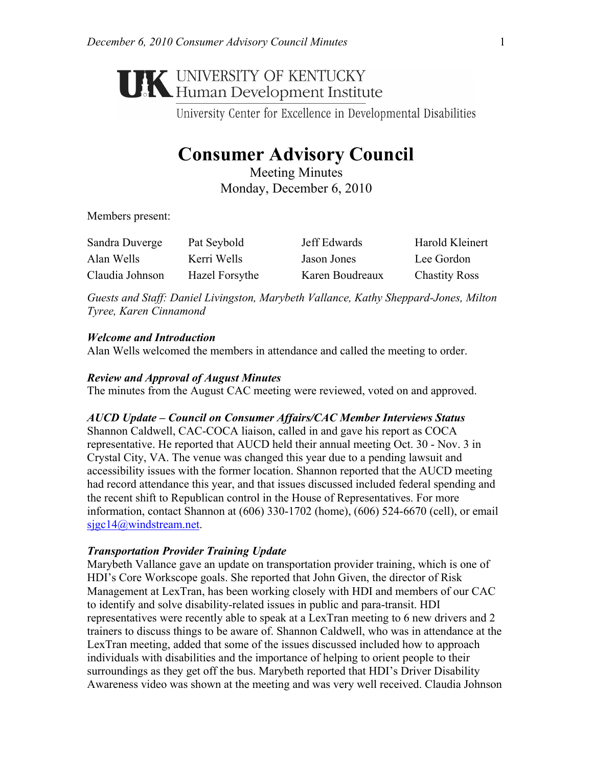# **UNIVERSITY OF KENTUCKY**<br>Human Development Institute

University Center for Excellence in Developmental Disabilities

# **Consumer Advisory Council**

Meeting Minutes Monday, December 6, 2010

Members present:

| Sandra Duverge  | Pat Seybold    | Jeff Edwards    | Harold Kleinert      |
|-----------------|----------------|-----------------|----------------------|
| Alan Wells      | Kerri Wells    | Jason Jones     | Lee Gordon           |
| Claudia Johnson | Hazel Forsythe | Karen Boudreaux | <b>Chastity Ross</b> |

*Guests and Staff: Daniel Livingston, Marybeth Vallance, Kathy Sheppard-Jones, Milton Tyree, Karen Cinnamond* 

# *Welcome and Introduction*

Alan Wells welcomed the members in attendance and called the meeting to order.

# *Review and Approval of August Minutes*

The minutes from the August CAC meeting were reviewed, voted on and approved.

# *AUCD Update – Council on Consumer Affairs/CAC Member Interviews Status*

Shannon Caldwell, CAC-COCA liaison, called in and gave his report as COCA representative. He reported that AUCD held their annual meeting Oct. 30 - Nov. 3 in Crystal City, VA. The venue was changed this year due to a pending lawsuit and accessibility issues with the former location. Shannon reported that the AUCD meeting had record attendance this year, and that issues discussed included federal spending and the recent shift to Republican control in the House of Representatives. For more information, contact Shannon at (606) 330-1702 (home), (606) 524-6670 (cell), or email sjgc14@windstream.net.

#### *Transportation Provider Training Update*

Marybeth Vallance gave an update on transportation provider training, which is one of HDI's Core Workscope goals. She reported that John Given, the director of Risk Management at LexTran, has been working closely with HDI and members of our CAC to identify and solve disability-related issues in public and para-transit. HDI representatives were recently able to speak at a LexTran meeting to 6 new drivers and 2 trainers to discuss things to be aware of. Shannon Caldwell, who was in attendance at the LexTran meeting, added that some of the issues discussed included how to approach individuals with disabilities and the importance of helping to orient people to their surroundings as they get off the bus. Marybeth reported that HDI's Driver Disability Awareness video was shown at the meeting and was very well received. Claudia Johnson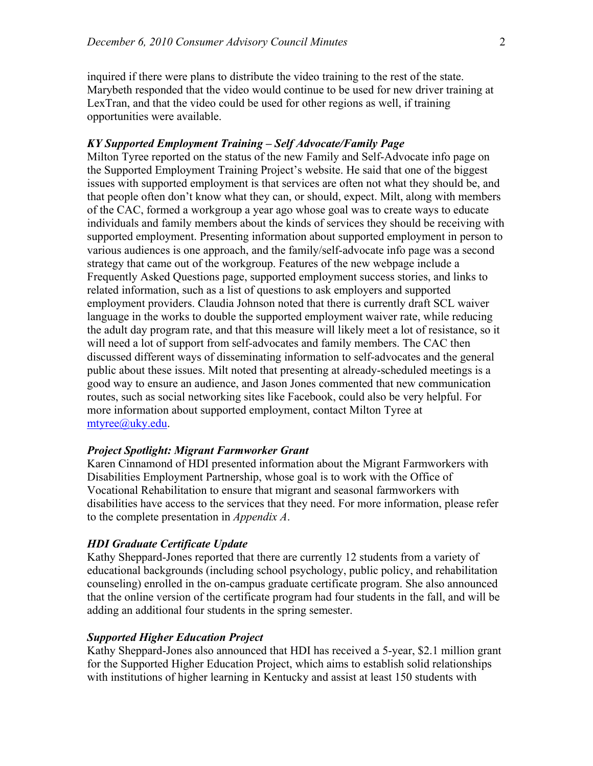inquired if there were plans to distribute the video training to the rest of the state. Marybeth responded that the video would continue to be used for new driver training at LexTran, and that the video could be used for other regions as well, if training opportunities were available.

#### *KY Supported Employment Training – Self Advocate/Family Page*

Milton Tyree reported on the status of the new Family and Self-Advocate info page on the Supported Employment Training Project's website. He said that one of the biggest issues with supported employment is that services are often not what they should be, and that people often don't know what they can, or should, expect. Milt, along with members of the CAC, formed a workgroup a year ago whose goal was to create ways to educate individuals and family members about the kinds of services they should be receiving with supported employment. Presenting information about supported employment in person to various audiences is one approach, and the family/self-advocate info page was a second strategy that came out of the workgroup. Features of the new webpage include a Frequently Asked Questions page, supported employment success stories, and links to related information, such as a list of questions to ask employers and supported employment providers. Claudia Johnson noted that there is currently draft SCL waiver language in the works to double the supported employment waiver rate, while reducing the adult day program rate, and that this measure will likely meet a lot of resistance, so it will need a lot of support from self-advocates and family members. The CAC then discussed different ways of disseminating information to self-advocates and the general public about these issues. Milt noted that presenting at already-scheduled meetings is a good way to ensure an audience, and Jason Jones commented that new communication routes, such as social networking sites like Facebook, could also be very helpful. For more information about supported employment, contact Milton Tyree at mtyree@uky.edu.

#### *Project Spotlight: Migrant Farmworker Grant*

Karen Cinnamond of HDI presented information about the Migrant Farmworkers with Disabilities Employment Partnership, whose goal is to work with the Office of Vocational Rehabilitation to ensure that migrant and seasonal farmworkers with disabilities have access to the services that they need. For more information, please refer to the complete presentation in *Appendix A*.

#### *HDI Graduate Certificate Update*

Kathy Sheppard-Jones reported that there are currently 12 students from a variety of educational backgrounds (including school psychology, public policy, and rehabilitation counseling) enrolled in the on-campus graduate certificate program. She also announced that the online version of the certificate program had four students in the fall, and will be adding an additional four students in the spring semester.

#### *Supported Higher Education Project*

Kathy Sheppard-Jones also announced that HDI has received a 5-year, \$2.1 million grant for the Supported Higher Education Project, which aims to establish solid relationships with institutions of higher learning in Kentucky and assist at least 150 students with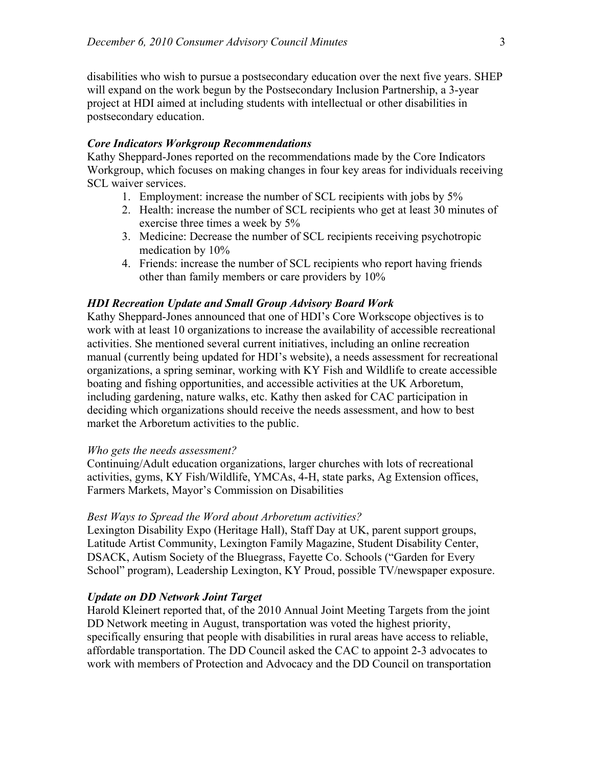disabilities who wish to pursue a postsecondary education over the next five years. SHEP will expand on the work begun by the Postsecondary Inclusion Partnership, a 3-year project at HDI aimed at including students with intellectual or other disabilities in postsecondary education.

#### *Core Indicators Workgroup Recommendations*

Kathy Sheppard-Jones reported on the recommendations made by the Core Indicators Workgroup, which focuses on making changes in four key areas for individuals receiving SCL waiver services.

- 1. Employment: increase the number of SCL recipients with jobs by 5%
- 2. Health: increase the number of SCL recipients who get at least 30 minutes of exercise three times a week by 5%
- 3. Medicine: Decrease the number of SCL recipients receiving psychotropic medication by 10%
- 4. Friends: increase the number of SCL recipients who report having friends other than family members or care providers by 10%

# *HDI Recreation Update and Small Group Advisory Board Work*

Kathy Sheppard-Jones announced that one of HDI's Core Workscope objectives is to work with at least 10 organizations to increase the availability of accessible recreational activities. She mentioned several current initiatives, including an online recreation manual (currently being updated for HDI's website), a needs assessment for recreational organizations, a spring seminar, working with KY Fish and Wildlife to create accessible boating and fishing opportunities, and accessible activities at the UK Arboretum, including gardening, nature walks, etc. Kathy then asked for CAC participation in deciding which organizations should receive the needs assessment, and how to best market the Arboretum activities to the public.

#### *Who gets the needs assessment?*

Continuing/Adult education organizations, larger churches with lots of recreational activities, gyms, KY Fish/Wildlife, YMCAs, 4-H, state parks, Ag Extension offices, Farmers Markets, Mayor's Commission on Disabilities

#### *Best Ways to Spread the Word about Arboretum activities?*

Lexington Disability Expo (Heritage Hall), Staff Day at UK, parent support groups, Latitude Artist Community, Lexington Family Magazine, Student Disability Center, DSACK, Autism Society of the Bluegrass, Fayette Co. Schools ("Garden for Every School" program), Leadership Lexington, KY Proud, possible TV/newspaper exposure.

#### *Update on DD Network Joint Target*

Harold Kleinert reported that, of the 2010 Annual Joint Meeting Targets from the joint DD Network meeting in August, transportation was voted the highest priority, specifically ensuring that people with disabilities in rural areas have access to reliable, affordable transportation. The DD Council asked the CAC to appoint 2-3 advocates to work with members of Protection and Advocacy and the DD Council on transportation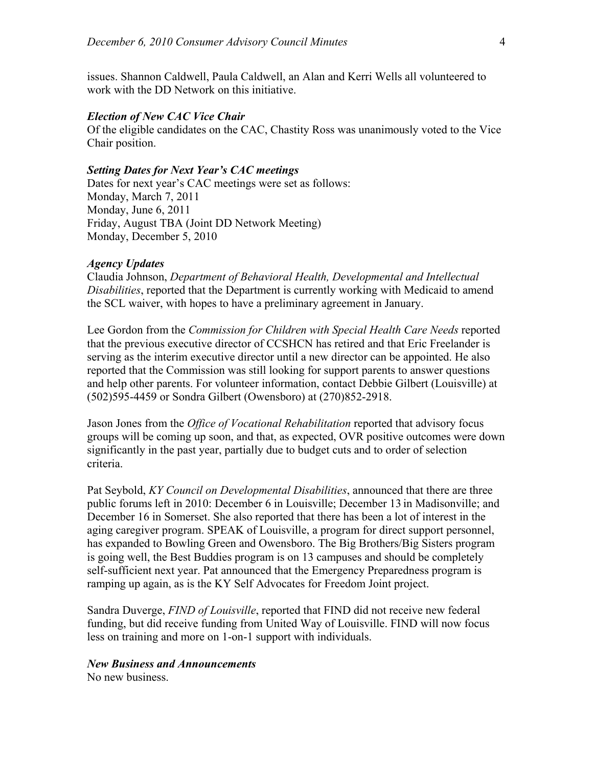issues. Shannon Caldwell, Paula Caldwell, an Alan and Kerri Wells all volunteered to work with the DD Network on this initiative.

#### *Election of New CAC Vice Chair*

Of the eligible candidates on the CAC, Chastity Ross was unanimously voted to the Vice Chair position.

# *Setting Dates for Next Year's CAC meetings*

Dates for next year's CAC meetings were set as follows: Monday, March 7, 2011 Monday, June 6, 2011 Friday, August TBA (Joint DD Network Meeting) Monday, December 5, 2010

#### *Agency Updates*

Claudia Johnson, *Department of Behavioral Health, Developmental and Intellectual Disabilities*, reported that the Department is currently working with Medicaid to amend the SCL waiver, with hopes to have a preliminary agreement in January.

Lee Gordon from the *Commission for Children with Special Health Care Needs* reported that the previous executive director of CCSHCN has retired and that Eric Freelander is serving as the interim executive director until a new director can be appointed. He also reported that the Commission was still looking for support parents to answer questions and help other parents. For volunteer information, contact Debbie Gilbert (Louisville) at (502)595-4459 or Sondra Gilbert (Owensboro) at (270)852-2918.

Jason Jones from the *Office of Vocational Rehabilitation* reported that advisory focus groups will be coming up soon, and that, as expected, OVR positive outcomes were down significantly in the past year, partially due to budget cuts and to order of selection criteria.

Pat Seybold, *KY Council on Developmental Disabilities*, announced that there are three public forums left in 2010: December 6 in Louisville; December 13 in Madisonville; and December 16 in Somerset. She also reported that there has been a lot of interest in the aging caregiver program. SPEAK of Louisville, a program for direct support personnel, has expanded to Bowling Green and Owensboro. The Big Brothers/Big Sisters program is going well, the Best Buddies program is on 13 campuses and should be completely self-sufficient next year. Pat announced that the Emergency Preparedness program is ramping up again, as is the KY Self Advocates for Freedom Joint project.

Sandra Duverge, *FIND of Louisville*, reported that FIND did not receive new federal funding, but did receive funding from United Way of Louisville. FIND will now focus less on training and more on 1-on-1 support with individuals.

#### *New Business and Announcements*

No new business.